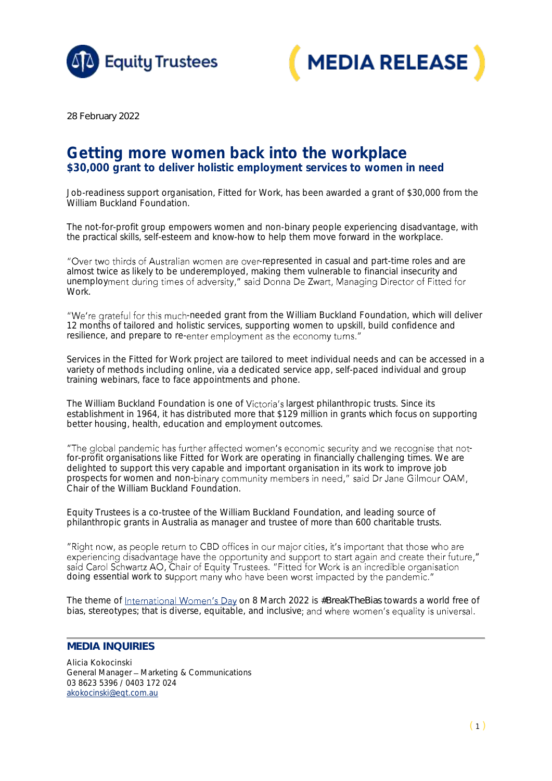



*28 February 2022*

## Getting more women back into the workplace \$30,000 grant to deliver holistic employment services to women in need

Job-readiness support organisation, Fitted for Work, has been awarded a grant of \$30,000 from the William Buckland Foundation.

The not-for-profit group empowers women and non-binary people experiencing disadvantage, with the practical skills, self-esteem and know-how to help them move forward in the workplace.

"Over two thirds of Australian women are over-represented in casual and part-time roles and are almost twice as likely to be underemployed, making them vulnerable to financial insecurity and unemployment during times of adversity," said Donna De Zwart, Managing Director of Fitted for Work.

"We're grateful for this much-needed grant from the William Buckland Foundation, which will deliver 12 months of tailored and holistic services, supporting women to upskill, build confidence and resilience, and prepare to re-enter employment as the economy turns."

Services in the Fitted for Work project are tailored to meet individual needs and can be accessed in a variety of methods including online, via a dedicated service app, self-paced individual and group training webinars, face to face appointments and phone.

The William Buckland Foundation is one of Victoria's largest philanthropic trusts. Since its establishment in 1964, it has distributed more that \$129 million in grants which focus on supporting better housing, health, education and employment outcomes.

"The global pandemic has further affected women's economic security and we recognise that notfor-profit organisations like Fitted for Work are operating in financially challenging times. We are delighted to support this very capable and important organisation in its work to improve job prospects for women and non-binary community members in need," said Dr Jane Gilmour OAM, Chair of the William Buckland Foundation.

Equity Trustees is a co-trustee of the William Buckland Foundation, and leading source of philanthropic grants in Australia as manager and trustee of more than 600 charitable trusts.

"Right now, as people return to CBD offices in our major cities, it's important that those who are experiencing disadvantage have the opportunity and support to start again and create their future," experiencing disadvantage have the opportunity and support to start again and create their rate<br>said Carol Schwartz AO, Chair of Equity Trustees. "Fitted for Work is an incredible organisation<br>doing essential work to suppo

Thetheme of International Women's Day on 8 March 2022 is #BreakTheBias towards a world free of bias, stereotypes; that is diverse, equitable, and inclusive; and where women's equality is universal.

## **MEDIA INQUIRIES**

Alicia Kokocinski General Manager - Marketing & Communications 03 8623 5396 / 0403 172 024 [akokocinski@eqt.com.au](mailto:akokocinski@eqt.com.au)